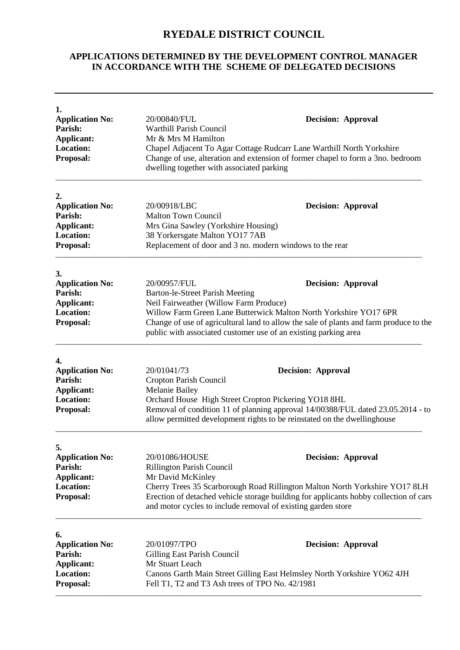## **RYEDALE DISTRICT COUNCIL**

## **APPLICATIONS DETERMINED BY THE DEVELOPMENT CONTROL MANAGER IN ACCORDANCE WITH THE SCHEME OF DELEGATED DECISIONS**

| 1.<br><b>Application No:</b>          | 20/00840/FUL                                                                                                                                                                                          |                           |  |
|---------------------------------------|-------------------------------------------------------------------------------------------------------------------------------------------------------------------------------------------------------|---------------------------|--|
| Parish:                               | <b>Warthill Parish Council</b>                                                                                                                                                                        | <b>Decision: Approval</b> |  |
| <b>Applicant:</b>                     | Mr & Mrs M Hamilton                                                                                                                                                                                   |                           |  |
| <b>Location:</b>                      | Chapel Adjacent To Agar Cottage Rudcarr Lane Warthill North Yorkshire<br>Change of use, alteration and extension of former chapel to form a 3no. bedroom<br>dwelling together with associated parking |                           |  |
| Proposal:                             |                                                                                                                                                                                                       |                           |  |
| 2.                                    |                                                                                                                                                                                                       |                           |  |
| <b>Application No:</b><br>Parish:     | 20/00918/LBC<br><b>Decision: Approval</b>                                                                                                                                                             |                           |  |
| <b>Applicant:</b>                     | <b>Malton Town Council</b>                                                                                                                                                                            |                           |  |
| <b>Location:</b>                      | Mrs Gina Sawley (Yorkshire Housing)                                                                                                                                                                   |                           |  |
| <b>Proposal:</b>                      | 38 Yorkersgate Malton YO17 7AB<br>Replacement of door and 3 no. modern windows to the rear                                                                                                            |                           |  |
|                                       |                                                                                                                                                                                                       |                           |  |
| 3.<br><b>Application No:</b>          | 20/00957/FUL                                                                                                                                                                                          | <b>Decision: Approval</b> |  |
| Parish:                               | <b>Barton-le-Street Parish Meeting</b>                                                                                                                                                                |                           |  |
| <b>Applicant:</b>                     | Neil Fairweather (Willow Farm Produce)                                                                                                                                                                |                           |  |
| <b>Location:</b>                      |                                                                                                                                                                                                       |                           |  |
| <b>Proposal:</b>                      | Willow Farm Green Lane Butterwick Malton North Yorkshire YO17 6PR                                                                                                                                     |                           |  |
|                                       | Change of use of agricultural land to allow the sale of plants and farm produce to the<br>public with associated customer use of an existing parking area                                             |                           |  |
| 4.                                    |                                                                                                                                                                                                       |                           |  |
| <b>Application No:</b>                | 20/01041/73                                                                                                                                                                                           | <b>Decision: Approval</b> |  |
| Parish:                               | Cropton Parish Council                                                                                                                                                                                |                           |  |
| <b>Applicant:</b>                     | Melanie Bailey                                                                                                                                                                                        |                           |  |
| <b>Location:</b>                      | Orchard House High Street Cropton Pickering YO18 8HL                                                                                                                                                  |                           |  |
| <b>Proposal:</b>                      | Removal of condition 11 of planning approval 14/00388/FUL dated 23.05.2014 - to<br>allow permitted development rights to be reinstated on the dwellinghouse                                           |                           |  |
| 5.                                    |                                                                                                                                                                                                       |                           |  |
| <b>Application No:</b>                | 20/01086/HOUSE                                                                                                                                                                                        | <b>Decision: Approval</b> |  |
| Parish:                               | <b>Rillington Parish Council</b>                                                                                                                                                                      |                           |  |
| <b>Applicant:</b>                     | Mr David McKinley                                                                                                                                                                                     |                           |  |
| Location:                             | Cherry Trees 35 Scarborough Road Rillington Malton North Yorkshire YO17 8LH                                                                                                                           |                           |  |
| Proposal:                             | Erection of detached vehicle storage building for applicants hobby collection of cars<br>and motor cycles to include removal of existing garden store                                                 |                           |  |
| 6.                                    |                                                                                                                                                                                                       |                           |  |
| <b>Application No:</b>                | 20/01097/TPO                                                                                                                                                                                          | <b>Decision: Approval</b> |  |
| <b>Parish:</b>                        | Gilling East Parish Council                                                                                                                                                                           |                           |  |
|                                       | Mr Stuart Leach                                                                                                                                                                                       |                           |  |
|                                       | Canons Garth Main Street Gilling East Helmsley North Yorkshire YO62 4JH                                                                                                                               |                           |  |
| <b>Applicant:</b><br><b>Location:</b> |                                                                                                                                                                                                       |                           |  |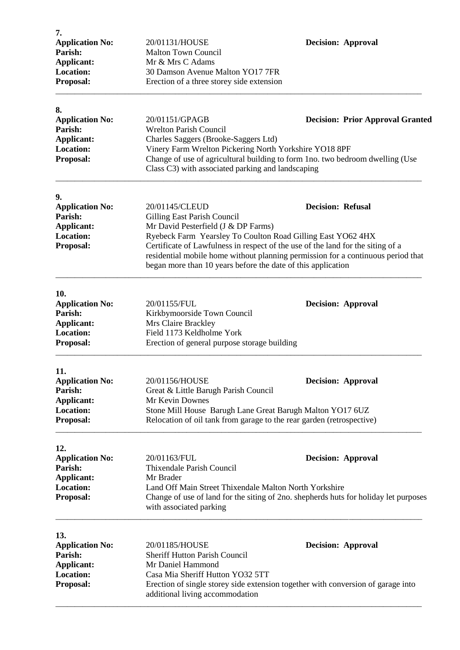| 20/01131/HOUSE                                                                                                                                                                          | <b>Decision: Approval</b>                                                                                                                                                                                                                                                                                                                                                                                                                                                                                                                                                                          |                                                              |
|-----------------------------------------------------------------------------------------------------------------------------------------------------------------------------------------|----------------------------------------------------------------------------------------------------------------------------------------------------------------------------------------------------------------------------------------------------------------------------------------------------------------------------------------------------------------------------------------------------------------------------------------------------------------------------------------------------------------------------------------------------------------------------------------------------|--------------------------------------------------------------|
|                                                                                                                                                                                         |                                                                                                                                                                                                                                                                                                                                                                                                                                                                                                                                                                                                    |                                                              |
|                                                                                                                                                                                         |                                                                                                                                                                                                                                                                                                                                                                                                                                                                                                                                                                                                    |                                                              |
|                                                                                                                                                                                         |                                                                                                                                                                                                                                                                                                                                                                                                                                                                                                                                                                                                    |                                                              |
| Erection of a three storey side extension                                                                                                                                               |                                                                                                                                                                                                                                                                                                                                                                                                                                                                                                                                                                                                    |                                                              |
|                                                                                                                                                                                         |                                                                                                                                                                                                                                                                                                                                                                                                                                                                                                                                                                                                    |                                                              |
|                                                                                                                                                                                         | <b>Decision: Prior Approval Granted</b>                                                                                                                                                                                                                                                                                                                                                                                                                                                                                                                                                            |                                                              |
|                                                                                                                                                                                         |                                                                                                                                                                                                                                                                                                                                                                                                                                                                                                                                                                                                    |                                                              |
|                                                                                                                                                                                         |                                                                                                                                                                                                                                                                                                                                                                                                                                                                                                                                                                                                    |                                                              |
| Vinery Farm Wrelton Pickering North Yorkshire YO18 8PF                                                                                                                                  |                                                                                                                                                                                                                                                                                                                                                                                                                                                                                                                                                                                                    |                                                              |
|                                                                                                                                                                                         |                                                                                                                                                                                                                                                                                                                                                                                                                                                                                                                                                                                                    |                                                              |
| Class C3) with associated parking and landscaping                                                                                                                                       |                                                                                                                                                                                                                                                                                                                                                                                                                                                                                                                                                                                                    |                                                              |
|                                                                                                                                                                                         |                                                                                                                                                                                                                                                                                                                                                                                                                                                                                                                                                                                                    |                                                              |
| 20/01145/CLEUD                                                                                                                                                                          | <b>Decision: Refusal</b>                                                                                                                                                                                                                                                                                                                                                                                                                                                                                                                                                                           |                                                              |
|                                                                                                                                                                                         |                                                                                                                                                                                                                                                                                                                                                                                                                                                                                                                                                                                                    |                                                              |
| Mr David Pesterfield (J & DP Farms)                                                                                                                                                     |                                                                                                                                                                                                                                                                                                                                                                                                                                                                                                                                                                                                    |                                                              |
| Ryebeck Farm Yearsley To Coulton Road Gilling East YO62 4HX                                                                                                                             |                                                                                                                                                                                                                                                                                                                                                                                                                                                                                                                                                                                                    |                                                              |
| Certificate of Lawfulness in respect of the use of the land for the siting of a<br><b>Proposal:</b><br>residential mobile home without planning permission for a continuous period that |                                                                                                                                                                                                                                                                                                                                                                                                                                                                                                                                                                                                    |                                                              |
|                                                                                                                                                                                         |                                                                                                                                                                                                                                                                                                                                                                                                                                                                                                                                                                                                    | began more than 10 years before the date of this application |
|                                                                                                                                                                                         |                                                                                                                                                                                                                                                                                                                                                                                                                                                                                                                                                                                                    |                                                              |
| 20/01155/FUL                                                                                                                                                                            | <b>Decision: Approval</b>                                                                                                                                                                                                                                                                                                                                                                                                                                                                                                                                                                          |                                                              |
|                                                                                                                                                                                         |                                                                                                                                                                                                                                                                                                                                                                                                                                                                                                                                                                                                    |                                                              |
| Mrs Claire Brackley                                                                                                                                                                     |                                                                                                                                                                                                                                                                                                                                                                                                                                                                                                                                                                                                    |                                                              |
| Field 1173 Keldholme York                                                                                                                                                               |                                                                                                                                                                                                                                                                                                                                                                                                                                                                                                                                                                                                    |                                                              |
| Erection of general purpose storage building                                                                                                                                            |                                                                                                                                                                                                                                                                                                                                                                                                                                                                                                                                                                                                    |                                                              |
|                                                                                                                                                                                         |                                                                                                                                                                                                                                                                                                                                                                                                                                                                                                                                                                                                    |                                                              |
|                                                                                                                                                                                         | <b>Decision: Approval</b>                                                                                                                                                                                                                                                                                                                                                                                                                                                                                                                                                                          |                                                              |
|                                                                                                                                                                                         |                                                                                                                                                                                                                                                                                                                                                                                                                                                                                                                                                                                                    |                                                              |
| Mr Kevin Downes                                                                                                                                                                         |                                                                                                                                                                                                                                                                                                                                                                                                                                                                                                                                                                                                    |                                                              |
| Stone Mill House Barugh Lane Great Barugh Malton YO17 6UZ                                                                                                                               |                                                                                                                                                                                                                                                                                                                                                                                                                                                                                                                                                                                                    |                                                              |
| Relocation of oil tank from garage to the rear garden (retrospective)                                                                                                                   |                                                                                                                                                                                                                                                                                                                                                                                                                                                                                                                                                                                                    |                                                              |
|                                                                                                                                                                                         |                                                                                                                                                                                                                                                                                                                                                                                                                                                                                                                                                                                                    |                                                              |
|                                                                                                                                                                                         | <b>Decision: Approval</b>                                                                                                                                                                                                                                                                                                                                                                                                                                                                                                                                                                          |                                                              |
|                                                                                                                                                                                         |                                                                                                                                                                                                                                                                                                                                                                                                                                                                                                                                                                                                    |                                                              |
|                                                                                                                                                                                         |                                                                                                                                                                                                                                                                                                                                                                                                                                                                                                                                                                                                    |                                                              |
|                                                                                                                                                                                         |                                                                                                                                                                                                                                                                                                                                                                                                                                                                                                                                                                                                    |                                                              |
|                                                                                                                                                                                         |                                                                                                                                                                                                                                                                                                                                                                                                                                                                                                                                                                                                    |                                                              |
| with associated parking                                                                                                                                                                 |                                                                                                                                                                                                                                                                                                                                                                                                                                                                                                                                                                                                    |                                                              |
|                                                                                                                                                                                         |                                                                                                                                                                                                                                                                                                                                                                                                                                                                                                                                                                                                    |                                                              |
|                                                                                                                                                                                         | <b>Decision: Approval</b>                                                                                                                                                                                                                                                                                                                                                                                                                                                                                                                                                                          |                                                              |
|                                                                                                                                                                                         |                                                                                                                                                                                                                                                                                                                                                                                                                                                                                                                                                                                                    |                                                              |
| 20/01185/HOUSE                                                                                                                                                                          |                                                                                                                                                                                                                                                                                                                                                                                                                                                                                                                                                                                                    |                                                              |
| <b>Sheriff Hutton Parish Council</b>                                                                                                                                                    |                                                                                                                                                                                                                                                                                                                                                                                                                                                                                                                                                                                                    |                                                              |
| Mr Daniel Hammond                                                                                                                                                                       |                                                                                                                                                                                                                                                                                                                                                                                                                                                                                                                                                                                                    |                                                              |
| Casa Mia Sheriff Hutton YO32 5TT<br>Erection of single storey side extension together with conversion of garage into                                                                    |                                                                                                                                                                                                                                                                                                                                                                                                                                                                                                                                                                                                    |                                                              |
|                                                                                                                                                                                         | <b>Malton Town Council</b><br>Mr & Mrs C Adams<br>30 Damson Avenue Malton YO17 7FR<br>20/01151/GPAGB<br><b>Wrelton Parish Council</b><br>Charles Saggers (Brooke-Saggers Ltd)<br>Change of use of agricultural building to form 1no. two bedroom dwelling (Use<br>Gilling East Parish Council<br>Kirkbymoorside Town Council<br>20/01156/HOUSE<br>Great & Little Barugh Parish Council<br>20/01163/FUL<br>Thixendale Parish Council<br>Mr Brader<br>Land Off Main Street Thixendale Malton North Yorkshire<br>Change of use of land for the siting of 2no. shepherds huts for holiday let purposes |                                                              |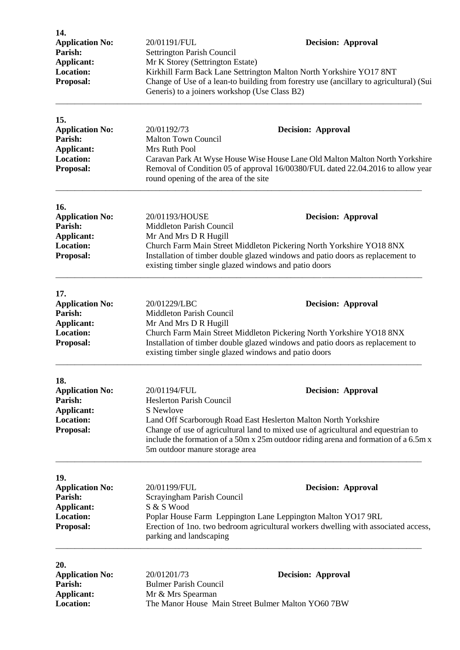| 14.<br><b>Application No:</b><br>Parish:<br><b>Applicant:</b><br><b>Location:</b><br>Proposal: | 20/01191/FUL<br><b>Decision: Approval</b><br>Settrington Parish Council<br>Mr K Storey (Settrington Estate)<br>Kirkhill Farm Back Lane Settrington Malton North Yorkshire YO17 8NT<br>Change of Use of a lean-to building from forestry use (ancillary to agricultural) (Sui<br>Generis) to a joiners workshop (Use Class B2) |                                                                                                                                                                                                                                                                                                            |  |
|------------------------------------------------------------------------------------------------|-------------------------------------------------------------------------------------------------------------------------------------------------------------------------------------------------------------------------------------------------------------------------------------------------------------------------------|------------------------------------------------------------------------------------------------------------------------------------------------------------------------------------------------------------------------------------------------------------------------------------------------------------|--|
| 15.<br><b>Application No:</b><br>Parish:<br><b>Applicant:</b><br><b>Location:</b><br>Proposal: | 20/01192/73<br><b>Malton Town Council</b><br>Mrs Ruth Pool<br>round opening of the area of the site                                                                                                                                                                                                                           | <b>Decision: Approval</b><br>Caravan Park At Wyse House Wise House Lane Old Malton Malton North Yorkshire<br>Removal of Condition 05 of approval 16/00380/FUL dated 22.04.2016 to allow year                                                                                                               |  |
| 16.<br><b>Application No:</b><br>Parish:<br><b>Applicant:</b><br><b>Location:</b><br>Proposal: | 20/01193/HOUSE<br><b>Decision: Approval</b><br>Middleton Parish Council<br>Mr And Mrs D R Hugill<br>Church Farm Main Street Middleton Pickering North Yorkshire YO18 8NX<br>Installation of timber double glazed windows and patio doors as replacement to<br>existing timber single glazed windows and patio doors           |                                                                                                                                                                                                                                                                                                            |  |
| 17.<br><b>Application No:</b><br>Parish:<br><b>Applicant:</b><br><b>Location:</b><br>Proposal: | 20/01229/LBC<br>Middleton Parish Council<br>Mr And Mrs D R Hugill<br>existing timber single glazed windows and patio doors                                                                                                                                                                                                    | <b>Decision: Approval</b><br>Church Farm Main Street Middleton Pickering North Yorkshire YO18 8NX<br>Installation of timber double glazed windows and patio doors as replacement to                                                                                                                        |  |
| 18.<br><b>Application No:</b><br>Parish:<br><b>Applicant:</b><br><b>Location:</b><br>Proposal: | 20/01194/FUL<br><b>Heslerton Parish Council</b><br>S Newlove                                                                                                                                                                                                                                                                  | <b>Decision: Approval</b><br>Land Off Scarborough Road East Heslerton Malton North Yorkshire<br>Change of use of agricultural land to mixed use of agricultural and equestrian to<br>include the formation of a 50m x 25m outdoor riding arena and formation of a 6.5m x<br>5m outdoor manure storage area |  |
| 19.<br><b>Application No:</b><br>Parish:<br><b>Applicant:</b><br><b>Location:</b><br>Proposal: | 20/01199/FUL<br>Scrayingham Parish Council<br>S & S Wood<br>parking and landscaping                                                                                                                                                                                                                                           | <b>Decision: Approval</b><br>Poplar House Farm Leppington Lane Leppington Malton YO17 9RL<br>Erection of 1no. two bedroom agricultural workers dwelling with associated access,                                                                                                                            |  |
| 20.<br><b>Application No:</b><br>Parish:<br><b>Applicant:</b><br><b>Location:</b>              | 20/01201/73<br><b>Bulmer Parish Council</b><br>Mr & Mrs Spearman<br>The Manor House Main Street Bulmer Malton YO60 7BW                                                                                                                                                                                                        | <b>Decision: Approval</b>                                                                                                                                                                                                                                                                                  |  |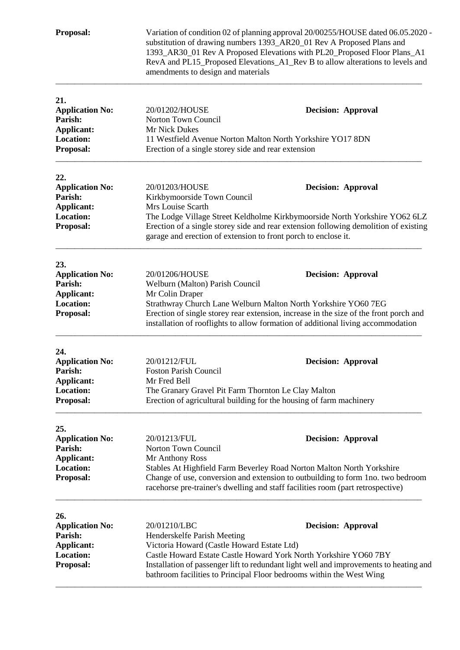| Proposal:                                                                                      | Variation of condition 02 of planning approval 20/00255/HOUSE dated 06.05.2020 -<br>substitution of drawing numbers 1393_AR20_01 Rev A Proposed Plans and<br>1393_AR30_01 Rev A Proposed Elevations with PL20_Proposed Floor Plans_A1<br>RevA and PL15_Proposed Elevations_A1_Rev B to allow alterations to levels and<br>amendments to design and materials |                                                                                                                                                                                                                                                                          |  |  |
|------------------------------------------------------------------------------------------------|--------------------------------------------------------------------------------------------------------------------------------------------------------------------------------------------------------------------------------------------------------------------------------------------------------------------------------------------------------------|--------------------------------------------------------------------------------------------------------------------------------------------------------------------------------------------------------------------------------------------------------------------------|--|--|
| 21.<br><b>Application No:</b><br>Parish:<br>Applicant:<br>Location:<br>Proposal:               | 20/01202/HOUSE<br>Norton Town Council<br>Mr Nick Dukes<br>Erection of a single storey side and rear extension                                                                                                                                                                                                                                                | <b>Decision: Approval</b><br>11 Westfield Avenue Norton Malton North Yorkshire YO17 8DN                                                                                                                                                                                  |  |  |
| 22.<br><b>Application No:</b><br>Parish:<br><b>Applicant:</b><br><b>Location:</b><br>Proposal: | 20/01203/HOUSE<br>Kirkbymoorside Town Council<br>Mrs Louise Scarth                                                                                                                                                                                                                                                                                           | <b>Decision: Approval</b><br>The Lodge Village Street Keldholme Kirkbymoorside North Yorkshire YO62 6LZ<br>Erection of a single storey side and rear extension following demolition of existing<br>garage and erection of extension to front porch to enclose it.        |  |  |
| 23.<br><b>Application No:</b><br>Parish:<br><b>Applicant:</b><br><b>Location:</b><br>Proposal: | 20/01206/HOUSE<br>Welburn (Malton) Parish Council<br>Mr Colin Draper                                                                                                                                                                                                                                                                                         | <b>Decision: Approval</b><br>Strathwray Church Lane Welburn Malton North Yorkshire YO60 7EG<br>Erection of single storey rear extension, increase in the size of the front porch and<br>installation of rooflights to allow formation of additional living accommodation |  |  |
| 24.<br><b>Application No:</b><br>Parish:<br><b>Applicant:</b><br><b>Location:</b><br>Proposal: | 20/01212/FUL<br><b>Foston Parish Council</b><br>Mr Fred Bell<br>The Granary Gravel Pit Farm Thornton Le Clay Malton                                                                                                                                                                                                                                          | <b>Decision: Approval</b><br>Erection of agricultural building for the housing of farm machinery                                                                                                                                                                         |  |  |
| 25.<br><b>Application No:</b><br>Parish:<br><b>Applicant:</b><br><b>Location:</b><br>Proposal: | 20/01213/FUL<br>Norton Town Council<br>Mr Anthony Ross                                                                                                                                                                                                                                                                                                       | <b>Decision: Approval</b><br>Stables At Highfield Farm Beverley Road Norton Malton North Yorkshire<br>Change of use, conversion and extension to outbuilding to form 1no. two bedroom<br>racehorse pre-trainer's dwelling and staff facilities room (part retrospective) |  |  |
| 26.<br><b>Application No:</b><br>Parish:<br><b>Applicant:</b><br><b>Location:</b><br>Proposal: | 20/01210/LBC<br>Henderskelfe Parish Meeting<br>Victoria Howard (Castle Howard Estate Ltd)                                                                                                                                                                                                                                                                    | <b>Decision: Approval</b><br>Castle Howard Estate Castle Howard York North Yorkshire YO60 7BY<br>Installation of passenger lift to redundant light well and improvements to heating and<br>bathroom facilities to Principal Floor bedrooms within the West Wing          |  |  |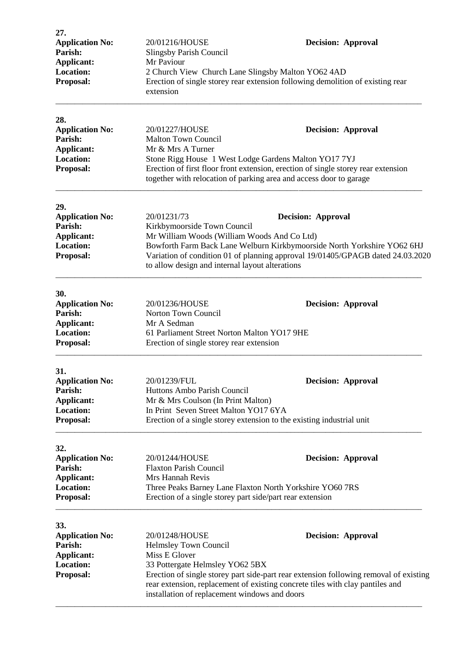| 27.<br><b>Application No:</b><br>Parish:<br><b>Applicant:</b><br><b>Location:</b><br>Proposal: | 20/01216/HOUSE<br><b>Slingsby Parish Council</b><br>Mr Paviour<br>2 Church View Church Lane Slingsby Malton YO62 4AD<br>extension                                                                                                                                                                                                      | <b>Decision: Approval</b><br>Erection of single storey rear extension following demolition of existing rear                                                                                                                                   |  |
|------------------------------------------------------------------------------------------------|----------------------------------------------------------------------------------------------------------------------------------------------------------------------------------------------------------------------------------------------------------------------------------------------------------------------------------------|-----------------------------------------------------------------------------------------------------------------------------------------------------------------------------------------------------------------------------------------------|--|
| 28.<br><b>Application No:</b><br>Parish:<br><b>Applicant:</b><br><b>Location:</b><br>Proposal: | 20/01227/HOUSE<br><b>Malton Town Council</b><br>Mr & Mrs A Turner                                                                                                                                                                                                                                                                      | <b>Decision: Approval</b><br>Stone Rigg House 1 West Lodge Gardens Malton YO17 7YJ<br>Erection of first floor front extension, erection of single storey rear extension<br>together with relocation of parking area and access door to garage |  |
| 29.<br><b>Application No:</b><br>Parish:<br><b>Applicant:</b><br><b>Location:</b><br>Proposal: | 20/01231/73<br><b>Decision: Approval</b><br>Kirkbymoorside Town Council<br>Mr William Woods (William Woods And Co Ltd)<br>Bowforth Farm Back Lane Welburn Kirkbymoorside North Yorkshire YO62 6HJ<br>Variation of condition 01 of planning approval 19/01405/GPAGB dated 24.03.2020<br>to allow design and internal layout alterations |                                                                                                                                                                                                                                               |  |
| 30.<br><b>Application No:</b><br>Parish:<br><b>Applicant:</b><br><b>Location:</b><br>Proposal: | 20/01236/HOUSE<br>Norton Town Council<br>Mr A Sedman<br>61 Parliament Street Norton Malton YO17 9HE<br>Erection of single storey rear extension                                                                                                                                                                                        | <b>Decision: Approval</b>                                                                                                                                                                                                                     |  |
| 31.<br><b>Application No:</b><br>Parish:<br>Applicant:<br><b>Location:</b><br>Proposal:        | 20/01239/FUL<br>Huttons Ambo Parish Council<br>Mr & Mrs Coulson (In Print Malton)<br>In Print Seven Street Malton YO17 6YA                                                                                                                                                                                                             | <b>Decision: Approval</b><br>Erection of a single storey extension to the existing industrial unit                                                                                                                                            |  |
| 32.<br><b>Application No:</b><br>Parish:<br>Applicant:<br><b>Location:</b><br>Proposal:        | 20/01244/HOUSE<br><b>Decision: Approval</b><br><b>Flaxton Parish Council</b><br>Mrs Hannah Revis<br>Three Peaks Barney Lane Flaxton North Yorkshire YO60 7RS<br>Erection of a single storey part side/part rear extension                                                                                                              |                                                                                                                                                                                                                                               |  |
| 33.<br><b>Application No:</b><br>Parish:<br>Applicant:<br><b>Location:</b><br>Proposal:        | 20/01248/HOUSE<br>Helmsley Town Council<br>Miss E Glover<br>33 Pottergate Helmsley YO62 5BX<br>installation of replacement windows and doors                                                                                                                                                                                           | <b>Decision: Approval</b><br>Erection of single storey part side-part rear extension following removal of existing<br>rear extension, replacement of existing concrete tiles with clay pantiles and                                           |  |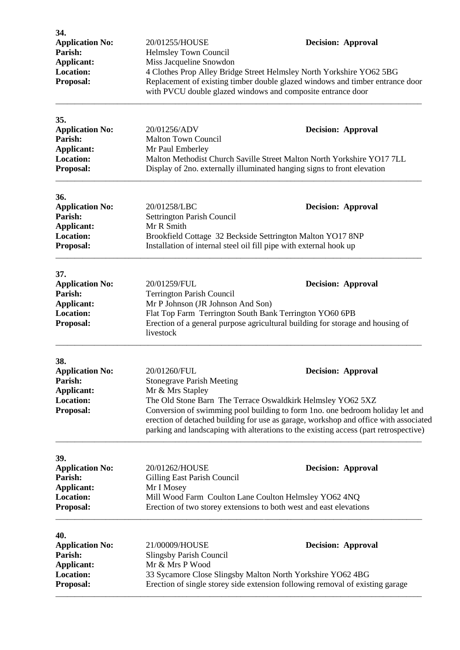| 34.<br><b>Application No:</b><br>Parish:<br><b>Applicant:</b><br><b>Location:</b><br>Proposal: | 20/01255/HOUSE<br>Helmsley Town Council<br>Miss Jacqueline Snowdon<br>with PVCU double glazed windows and composite entrance door                                                          | <b>Decision: Approval</b><br>4 Clothes Prop Alley Bridge Street Helmsley North Yorkshire YO62 5BG<br>Replacement of existing timber double glazed windows and timber entrance door                                                                                                                                                                        |  |  |
|------------------------------------------------------------------------------------------------|--------------------------------------------------------------------------------------------------------------------------------------------------------------------------------------------|-----------------------------------------------------------------------------------------------------------------------------------------------------------------------------------------------------------------------------------------------------------------------------------------------------------------------------------------------------------|--|--|
| 35.<br><b>Application No:</b><br>Parish:<br>Applicant:<br>Location:<br>Proposal:               | 20/01256/ADV<br><b>Malton Town Council</b><br>Mr Paul Emberley                                                                                                                             | <b>Decision: Approval</b><br>Malton Methodist Church Saville Street Malton North Yorkshire YO17 7LL<br>Display of 2no. externally illuminated hanging signs to front elevation                                                                                                                                                                            |  |  |
| 36.<br><b>Application No:</b><br>Parish:<br>Applicant:<br><b>Location:</b><br>Proposal:        | 20/01258/LBC<br>Settrington Parish Council<br>Mr R Smith                                                                                                                                   | <b>Decision: Approval</b><br>Brookfield Cottage 32 Beckside Settrington Malton YO17 8NP<br>Installation of internal steel oil fill pipe with external hook up                                                                                                                                                                                             |  |  |
| 37.<br><b>Application No:</b><br>Parish:<br>Applicant:<br><b>Location:</b><br>Proposal:        | 20/01259/FUL<br><b>Terrington Parish Council</b><br>Mr P Johnson (JR Johnson And Son)<br>Flat Top Farm Terrington South Bank Terrington YO60 6PB<br>livestock                              | <b>Decision: Approval</b><br>Erection of a general purpose agricultural building for storage and housing of                                                                                                                                                                                                                                               |  |  |
| 38.<br><b>Application No:</b><br>Parish:<br>Applicant:<br><b>Location:</b><br>Proposal:        | 20/01260/FUL<br><b>Stonegrave Parish Meeting</b><br>Mr & Mrs Stapley                                                                                                                       | <b>Decision: Approval</b><br>The Old Stone Barn The Terrace Oswaldkirk Helmsley YO62 5XZ<br>Conversion of swimming pool building to form 1no. one bedroom holiday let and<br>erection of detached building for use as garage, workshop and office with associated<br>parking and landscaping with alterations to the existing access (part retrospective) |  |  |
| 39.<br><b>Application No:</b><br>Parish:<br>Applicant:<br><b>Location:</b><br>Proposal:        | 20/01262/HOUSE<br>Gilling East Parish Council<br>Mr I Mosey<br>Mill Wood Farm Coulton Lane Coulton Helmsley YO62 4NQ<br>Erection of two storey extensions to both west and east elevations | <b>Decision: Approval</b>                                                                                                                                                                                                                                                                                                                                 |  |  |
| 40.<br><b>Application No:</b><br>Parish:<br><b>Applicant:</b><br><b>Location:</b><br>Proposal: | 21/00009/HOUSE<br><b>Slingsby Parish Council</b><br>Mr & Mrs P Wood                                                                                                                        | <b>Decision: Approval</b><br>33 Sycamore Close Slingsby Malton North Yorkshire YO62 4BG<br>Erection of single storey side extension following removal of existing garage                                                                                                                                                                                  |  |  |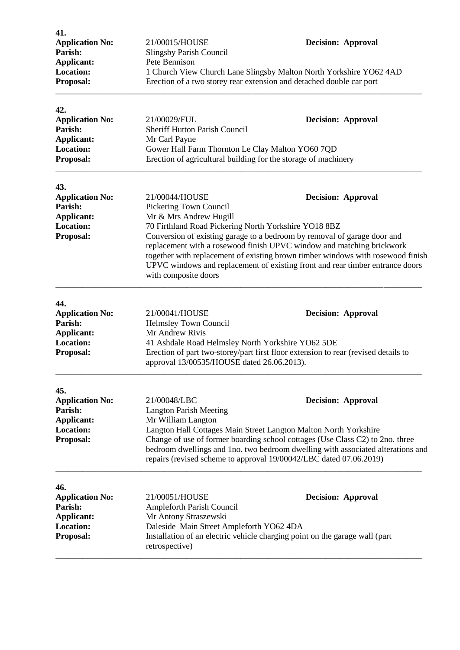| 41.<br><b>Application No:</b><br>Parish:<br>Applicant:<br><b>Location:</b>                     | 21/00015/HOUSE<br><b>Slingsby Parish Council</b><br>Pete Bennison                                                                                                                                                                                                                                                                                                                                                               | <b>Decision: Approval</b>                                      |  |
|------------------------------------------------------------------------------------------------|---------------------------------------------------------------------------------------------------------------------------------------------------------------------------------------------------------------------------------------------------------------------------------------------------------------------------------------------------------------------------------------------------------------------------------|----------------------------------------------------------------|--|
| Proposal:                                                                                      | 1 Church View Church Lane Slingsby Malton North Yorkshire YO62 4AD<br>Erection of a two storey rear extension and detached double car port                                                                                                                                                                                                                                                                                      |                                                                |  |
| 42.<br><b>Application No:</b><br>Parish:<br><b>Applicant:</b><br><b>Location:</b>              | 21/00029/FUL<br><b>Sheriff Hutton Parish Council</b><br>Mr Carl Payne<br>Gower Hall Farm Thornton Le Clay Malton YO60 7QD                                                                                                                                                                                                                                                                                                       | <b>Decision: Approval</b>                                      |  |
| Proposal:                                                                                      |                                                                                                                                                                                                                                                                                                                                                                                                                                 | Erection of agricultural building for the storage of machinery |  |
| 43.<br><b>Application No:</b><br>Parish:                                                       | 21/00044/HOUSE<br>Pickering Town Council                                                                                                                                                                                                                                                                                                                                                                                        | <b>Decision: Approval</b>                                      |  |
| <b>Applicant:</b><br>Location:<br>Proposal:                                                    | Mr & Mrs Andrew Hugill<br>70 Firthland Road Pickering North Yorkshire YO18 8BZ<br>Conversion of existing garage to a bedroom by removal of garage door and<br>replacement with a rosewood finish UPVC window and matching brickwork<br>together with replacement of existing brown timber windows with rosewood finish<br>UPVC windows and replacement of existing front and rear timber entrance doors<br>with composite doors |                                                                |  |
| 44.<br><b>Application No:</b><br>Parish:<br><b>Applicant:</b><br><b>Location:</b><br>Proposal: | 21/00041/HOUSE<br>Helmsley Town Council<br>Mr Andrew Rivis<br>41 Ashdale Road Helmsley North Yorkshire YO62 5DE<br>Erection of part two-storey/part first floor extension to rear (revised details to<br>approval 13/00535/HOUSE dated 26.06.2013).                                                                                                                                                                             | <b>Decision: Approval</b>                                      |  |
| 45.<br><b>Application No:</b><br>Parish:<br>Applicant:<br><b>Location:</b><br>Proposal:        | 21/00048/LBC<br><b>Decision: Approval</b><br><b>Langton Parish Meeting</b><br>Mr William Langton<br>Langton Hall Cottages Main Street Langton Malton North Yorkshire<br>Change of use of former boarding school cottages (Use Class C2) to 2no. three<br>bedroom dwellings and 1no. two bedroom dwelling with associated alterations and<br>repairs (revised scheme to approval 19/00042/LBC dated 07.06.2019)                  |                                                                |  |
| 46.<br><b>Application No:</b><br>Parish:<br>Applicant:<br><b>Location:</b><br>Proposal:        | 21/00051/HOUSE<br>Ampleforth Parish Council<br>Mr Antony Straszewski<br>Daleside Main Street Ampleforth YO62 4DA<br>Installation of an electric vehicle charging point on the garage wall (part<br>retrospective)                                                                                                                                                                                                               | <b>Decision: Approval</b>                                      |  |